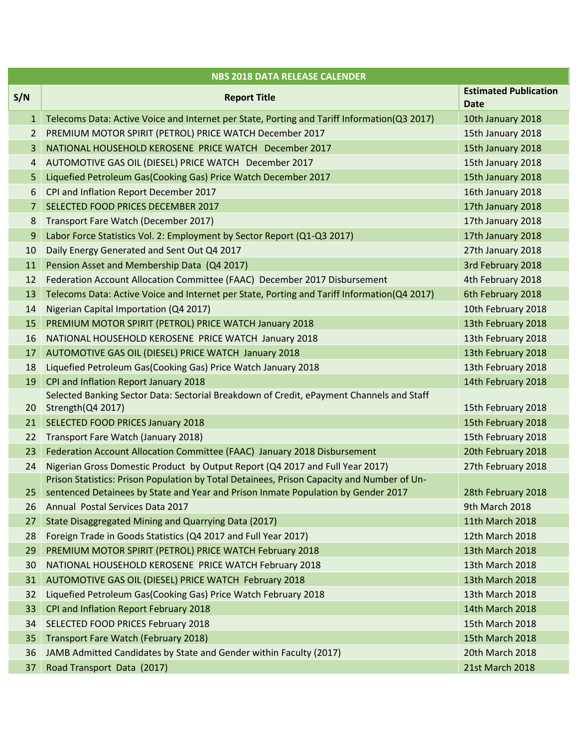| <b>NBS 2018 DATA RELEASE CALENDER</b> |                                                                                                               |                                             |  |  |
|---------------------------------------|---------------------------------------------------------------------------------------------------------------|---------------------------------------------|--|--|
| S/N                                   | <b>Report Title</b>                                                                                           | <b>Estimated Publication</b><br><b>Date</b> |  |  |
| $\mathbf{1}$                          | Telecoms Data: Active Voice and Internet per State, Porting and Tariff Information(Q3 2017)                   | 10th January 2018                           |  |  |
| 2                                     | PREMIUM MOTOR SPIRIT (PETROL) PRICE WATCH December 2017                                                       | 15th January 2018                           |  |  |
| 3                                     | NATIONAL HOUSEHOLD KEROSENE PRICE WATCH December 2017                                                         | 15th January 2018                           |  |  |
| 4                                     | AUTOMOTIVE GAS OIL (DIESEL) PRICE WATCH December 2017                                                         | 15th January 2018                           |  |  |
| 5                                     | Liquefied Petroleum Gas(Cooking Gas) Price Watch December 2017                                                | 15th January 2018                           |  |  |
| 6                                     | CPI and Inflation Report December 2017                                                                        | 16th January 2018                           |  |  |
| $\overline{7}$                        | SELECTED FOOD PRICES DECEMBER 2017                                                                            | 17th January 2018                           |  |  |
| 8                                     | Transport Fare Watch (December 2017)                                                                          | 17th January 2018                           |  |  |
| 9                                     | Labor Force Statistics Vol. 2: Employment by Sector Report (Q1-Q3 2017)                                       | 17th January 2018                           |  |  |
| 10                                    | Daily Energy Generated and Sent Out Q4 2017                                                                   | 27th January 2018                           |  |  |
| 11                                    | Pension Asset and Membership Data (Q4 2017)                                                                   | 3rd February 2018                           |  |  |
| 12                                    | Federation Account Allocation Committee (FAAC) December 2017 Disbursement                                     | 4th February 2018                           |  |  |
| 13                                    | Telecoms Data: Active Voice and Internet per State, Porting and Tariff Information(Q4 2017)                   | 6th February 2018                           |  |  |
| 14                                    | Nigerian Capital Importation (Q4 2017)                                                                        | 10th February 2018                          |  |  |
| 15                                    | PREMIUM MOTOR SPIRIT (PETROL) PRICE WATCH January 2018                                                        | 13th February 2018                          |  |  |
| 16                                    | NATIONAL HOUSEHOLD KEROSENE PRICE WATCH January 2018                                                          | 13th February 2018                          |  |  |
| 17                                    | AUTOMOTIVE GAS OIL (DIESEL) PRICE WATCH January 2018                                                          | 13th February 2018                          |  |  |
| 18                                    | Liquefied Petroleum Gas(Cooking Gas) Price Watch January 2018                                                 | 13th February 2018                          |  |  |
| 19                                    | CPI and Inflation Report January 2018                                                                         | 14th February 2018                          |  |  |
| 20                                    | Selected Banking Sector Data: Sectorial Breakdown of Credit, ePayment Channels and Staff<br>Strength(Q4 2017) | 15th February 2018                          |  |  |
| 21                                    | <b>SELECTED FOOD PRICES January 2018</b>                                                                      | 15th February 2018                          |  |  |
| 22                                    | Transport Fare Watch (January 2018)                                                                           | 15th February 2018                          |  |  |
| 23                                    | Federation Account Allocation Committee (FAAC) January 2018 Disbursement                                      | 20th February 2018                          |  |  |
| 24                                    | Nigerian Gross Domestic Product by Output Report (Q4 2017 and Full Year 2017)                                 | 27th February 2018                          |  |  |
|                                       | Prison Statistics: Prison Population by Total Detainees, Prison Capacity and Number of Un-                    |                                             |  |  |
| 25 <sub>2</sub>                       | sentenced Detainees by State and Year and Prison Inmate Population by Gender 2017                             | 28th February 2018                          |  |  |
| 26                                    | Annual Postal Services Data 2017                                                                              | 9th March 2018                              |  |  |
| 27                                    | State Disaggregated Mining and Quarrying Data (2017)                                                          | 11th March 2018                             |  |  |
| 28                                    | Foreign Trade in Goods Statistics (Q4 2017 and Full Year 2017)                                                | 12th March 2018                             |  |  |
| 29                                    | PREMIUM MOTOR SPIRIT (PETROL) PRICE WATCH February 2018                                                       | 13th March 2018                             |  |  |
| 30                                    | NATIONAL HOUSEHOLD KEROSENE PRICE WATCH February 2018                                                         | 13th March 2018                             |  |  |
| 31                                    | AUTOMOTIVE GAS OIL (DIESEL) PRICE WATCH February 2018                                                         | 13th March 2018                             |  |  |
| 32                                    | Liquefied Petroleum Gas(Cooking Gas) Price Watch February 2018                                                | 13th March 2018                             |  |  |
| 33                                    | CPI and Inflation Report February 2018                                                                        | 14th March 2018                             |  |  |
| 34                                    | <b>SELECTED FOOD PRICES February 2018</b>                                                                     | 15th March 2018                             |  |  |
| 35                                    | Transport Fare Watch (February 2018)                                                                          | 15th March 2018                             |  |  |
| 36                                    | JAMB Admitted Candidates by State and Gender within Faculty (2017)                                            | 20th March 2018                             |  |  |
| 37                                    | Road Transport Data (2017)                                                                                    | 21st March 2018                             |  |  |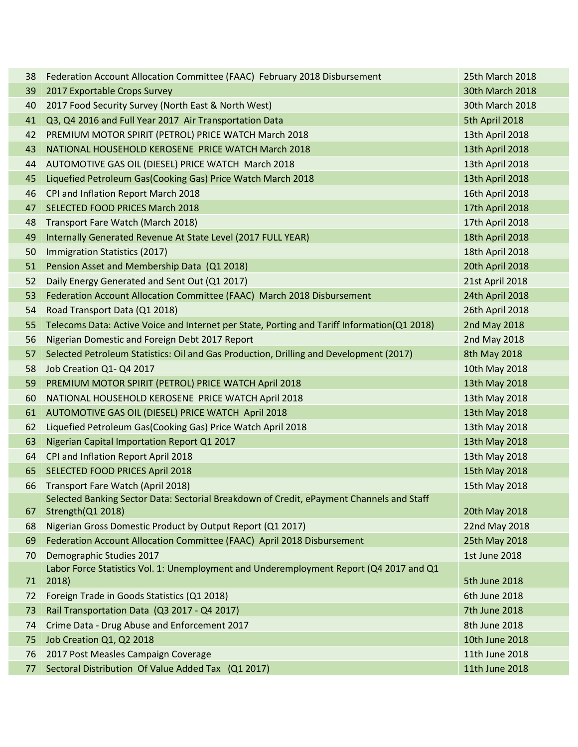| 38 | Federation Account Allocation Committee (FAAC) February 2018 Disbursement                       | 25th March 2018        |
|----|-------------------------------------------------------------------------------------------------|------------------------|
| 39 | 2017 Exportable Crops Survey                                                                    | <b>30th March 2018</b> |
| 40 | 2017 Food Security Survey (North East & North West)                                             | 30th March 2018        |
| 41 | Q3, Q4 2016 and Full Year 2017 Air Transportation Data                                          | 5th April 2018         |
| 42 | PREMIUM MOTOR SPIRIT (PETROL) PRICE WATCH March 2018                                            | 13th April 2018        |
| 43 | NATIONAL HOUSEHOLD KEROSENE PRICE WATCH March 2018                                              | 13th April 2018        |
| 44 | AUTOMOTIVE GAS OIL (DIESEL) PRICE WATCH March 2018                                              | 13th April 2018        |
| 45 | Liquefied Petroleum Gas(Cooking Gas) Price Watch March 2018                                     | 13th April 2018        |
| 46 | CPI and Inflation Report March 2018                                                             | 16th April 2018        |
| 47 | <b>SELECTED FOOD PRICES March 2018</b>                                                          | 17th April 2018        |
| 48 | Transport Fare Watch (March 2018)                                                               | 17th April 2018        |
| 49 | Internally Generated Revenue At State Level (2017 FULL YEAR)                                    | 18th April 2018        |
| 50 | Immigration Statistics (2017)                                                                   | 18th April 2018        |
| 51 | Pension Asset and Membership Data (Q1 2018)                                                     | 20th April 2018        |
| 52 | Daily Energy Generated and Sent Out (Q1 2017)                                                   | 21st April 2018        |
| 53 | Federation Account Allocation Committee (FAAC) March 2018 Disbursement                          | 24th April 2018        |
| 54 | Road Transport Data (Q1 2018)                                                                   | 26th April 2018        |
| 55 | Telecoms Data: Active Voice and Internet per State, Porting and Tariff Information(Q1 2018)     | 2nd May 2018           |
| 56 | Nigerian Domestic and Foreign Debt 2017 Report                                                  | 2nd May 2018           |
| 57 | Selected Petroleum Statistics: Oil and Gas Production, Drilling and Development (2017)          | 8th May 2018           |
| 58 | Job Creation Q1- Q4 2017                                                                        | 10th May 2018          |
| 59 | PREMIUM MOTOR SPIRIT (PETROL) PRICE WATCH April 2018                                            | 13th May 2018          |
| 60 | NATIONAL HOUSEHOLD KEROSENE PRICE WATCH April 2018                                              | 13th May 2018          |
| 61 | AUTOMOTIVE GAS OIL (DIESEL) PRICE WATCH April 2018                                              | 13th May 2018          |
| 62 | Liquefied Petroleum Gas(Cooking Gas) Price Watch April 2018                                     | 13th May 2018          |
| 63 | Nigerian Capital Importation Report Q1 2017                                                     | 13th May 2018          |
| 64 | CPI and Inflation Report April 2018                                                             | 13th May 2018          |
| 65 | SELECTED FOOD PRICES April 2018                                                                 | 15th May 2018          |
| 66 | Transport Fare Watch (April 2018)                                                               | 15th May 2018          |
|    | Selected Banking Sector Data: Sectorial Breakdown of Credit, ePayment Channels and Staff        |                        |
| 67 | Strength(Q1 2018)                                                                               | 20th May 2018          |
| 68 | Nigerian Gross Domestic Product by Output Report (Q1 2017)                                      | 22nd May 2018          |
| 69 | Federation Account Allocation Committee (FAAC) April 2018 Disbursement                          | 25th May 2018          |
| 70 | Demographic Studies 2017                                                                        | <b>1st June 2018</b>   |
| 71 | Labor Force Statistics Vol. 1: Unemployment and Underemployment Report (Q4 2017 and Q1<br>2018) | 5th June 2018          |
| 72 | Foreign Trade in Goods Statistics (Q1 2018)                                                     | 6th June 2018          |
| 73 | Rail Transportation Data (Q3 2017 - Q4 2017)                                                    | 7th June 2018          |
| 74 | Crime Data - Drug Abuse and Enforcement 2017                                                    | 8th June 2018          |
| 75 | Job Creation Q1, Q2 2018                                                                        | 10th June 2018         |
| 76 | 2017 Post Measles Campaign Coverage                                                             | 11th June 2018         |
| 77 | Sectoral Distribution Of Value Added Tax (Q1 2017)                                              | 11th June 2018         |
|    |                                                                                                 |                        |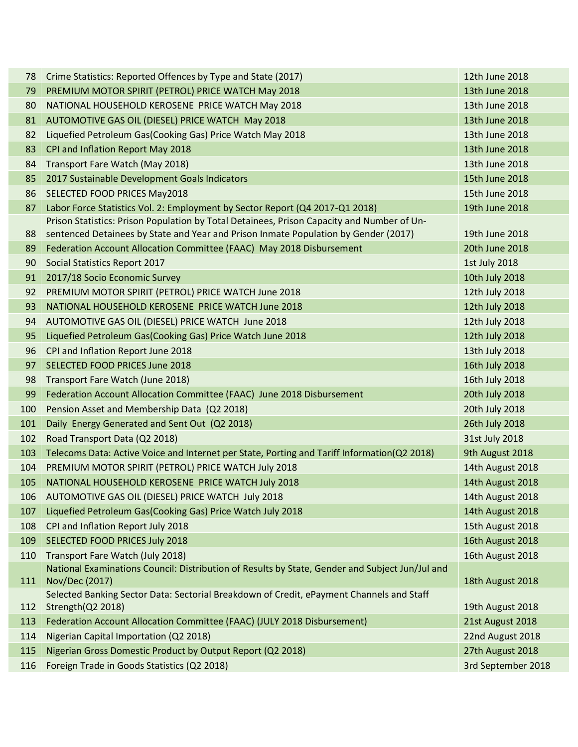| 78  | Crime Statistics: Reported Offences by Type and State (2017)                                    | 12th June 2018     |
|-----|-------------------------------------------------------------------------------------------------|--------------------|
| 79  | PREMIUM MOTOR SPIRIT (PETROL) PRICE WATCH May 2018                                              | 13th June 2018     |
| 80  | NATIONAL HOUSEHOLD KEROSENE PRICE WATCH May 2018                                                | 13th June 2018     |
| 81  | AUTOMOTIVE GAS OIL (DIESEL) PRICE WATCH May 2018                                                | 13th June 2018     |
| 82  | Liquefied Petroleum Gas(Cooking Gas) Price Watch May 2018                                       | 13th June 2018     |
| 83  | CPI and Inflation Report May 2018                                                               | 13th June 2018     |
| 84  | Transport Fare Watch (May 2018)                                                                 | 13th June 2018     |
| 85  | 2017 Sustainable Development Goals Indicators                                                   | 15th June 2018     |
| 86  | SELECTED FOOD PRICES May2018                                                                    | 15th June 2018     |
| 87  | Labor Force Statistics Vol. 2: Employment by Sector Report (Q4 2017-Q1 2018)                    | 19th June 2018     |
|     | Prison Statistics: Prison Population by Total Detainees, Prison Capacity and Number of Un-      |                    |
| 88  | sentenced Detainees by State and Year and Prison Inmate Population by Gender (2017)             | 19th June 2018     |
| 89  | Federation Account Allocation Committee (FAAC) May 2018 Disbursement                            | 20th June 2018     |
| 90  | Social Statistics Report 2017                                                                   | 1st July 2018      |
| 91  | 2017/18 Socio Economic Survey                                                                   | 10th July 2018     |
| 92  | PREMIUM MOTOR SPIRIT (PETROL) PRICE WATCH June 2018                                             | 12th July 2018     |
| 93  | NATIONAL HOUSEHOLD KEROSENE PRICE WATCH June 2018                                               | 12th July 2018     |
| 94  | AUTOMOTIVE GAS OIL (DIESEL) PRICE WATCH June 2018                                               | 12th July 2018     |
| 95  | Liquefied Petroleum Gas(Cooking Gas) Price Watch June 2018                                      | 12th July 2018     |
| 96  | CPI and Inflation Report June 2018                                                              | 13th July 2018     |
| 97  | SELECTED FOOD PRICES June 2018                                                                  | 16th July 2018     |
| 98  | Transport Fare Watch (June 2018)                                                                | 16th July 2018     |
| 99  | Federation Account Allocation Committee (FAAC) June 2018 Disbursement                           | 20th July 2018     |
| 100 | Pension Asset and Membership Data (Q2 2018)                                                     | 20th July 2018     |
| 101 | Daily Energy Generated and Sent Out (Q2 2018)                                                   | 26th July 2018     |
| 102 | Road Transport Data (Q2 2018)                                                                   | 31st July 2018     |
| 103 | Telecoms Data: Active Voice and Internet per State, Porting and Tariff Information(Q2 2018)     | 9th August 2018    |
| 104 | PREMIUM MOTOR SPIRIT (PETROL) PRICE WATCH July 2018                                             | 14th August 2018   |
| 105 | NATIONAL HOUSEHOLD KEROSENE PRICE WATCH July 2018                                               | 14th August 2018   |
| 106 | AUTOMOTIVE GAS OIL (DIESEL) PRICE WATCH July 2018                                               | 14th August 2018   |
| 107 | Liquefied Petroleum Gas(Cooking Gas) Price Watch July 2018                                      | 14th August 2018   |
| 108 | CPI and Inflation Report July 2018                                                              | 15th August 2018   |
| 109 | SELECTED FOOD PRICES July 2018                                                                  | 16th August 2018   |
| 110 | Transport Fare Watch (July 2018)                                                                | 16th August 2018   |
|     | National Examinations Council: Distribution of Results by State, Gender and Subject Jun/Jul and |                    |
| 111 | Nov/Dec (2017)                                                                                  | 18th August 2018   |
|     | Selected Banking Sector Data: Sectorial Breakdown of Credit, ePayment Channels and Staff        |                    |
| 112 | Strength(Q2 2018)                                                                               | 19th August 2018   |
| 113 | Federation Account Allocation Committee (FAAC) (JULY 2018 Disbursement)                         | 21st August 2018   |
| 114 | Nigerian Capital Importation (Q2 2018)                                                          | 22nd August 2018   |
| 115 | Nigerian Gross Domestic Product by Output Report (Q2 2018)                                      | 27th August 2018   |
| 116 | Foreign Trade in Goods Statistics (Q2 2018)                                                     | 3rd September 2018 |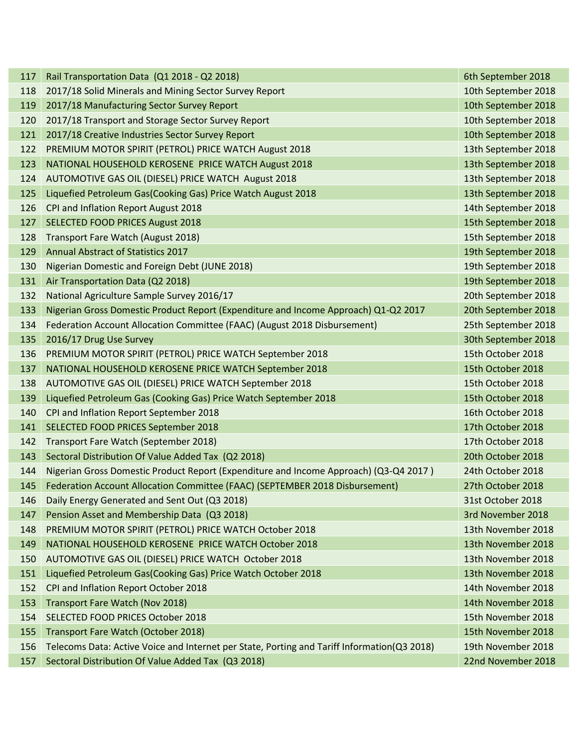| 117 | Rail Transportation Data (Q1 2018 - Q2 2018)                                                | 6th September 2018  |
|-----|---------------------------------------------------------------------------------------------|---------------------|
| 118 | 2017/18 Solid Minerals and Mining Sector Survey Report                                      | 10th September 2018 |
| 119 | 2017/18 Manufacturing Sector Survey Report                                                  | 10th September 2018 |
| 120 | 2017/18 Transport and Storage Sector Survey Report                                          | 10th September 2018 |
| 121 | 2017/18 Creative Industries Sector Survey Report                                            | 10th September 2018 |
| 122 | PREMIUM MOTOR SPIRIT (PETROL) PRICE WATCH August 2018                                       | 13th September 2018 |
| 123 | NATIONAL HOUSEHOLD KEROSENE PRICE WATCH August 2018                                         | 13th September 2018 |
| 124 | AUTOMOTIVE GAS OIL (DIESEL) PRICE WATCH August 2018                                         | 13th September 2018 |
| 125 | Liquefied Petroleum Gas(Cooking Gas) Price Watch August 2018                                | 13th September 2018 |
| 126 | CPI and Inflation Report August 2018                                                        | 14th September 2018 |
| 127 | <b>SELECTED FOOD PRICES August 2018</b>                                                     | 15th September 2018 |
| 128 | Transport Fare Watch (August 2018)                                                          | 15th September 2018 |
| 129 | <b>Annual Abstract of Statistics 2017</b>                                                   | 19th September 2018 |
| 130 | Nigerian Domestic and Foreign Debt (JUNE 2018)                                              | 19th September 2018 |
| 131 | Air Transportation Data (Q2 2018)                                                           | 19th September 2018 |
| 132 | National Agriculture Sample Survey 2016/17                                                  | 20th September 2018 |
| 133 | Nigerian Gross Domestic Product Report (Expenditure and Income Approach) Q1-Q2 2017         | 20th September 2018 |
| 134 | Federation Account Allocation Committee (FAAC) (August 2018 Disbursement)                   | 25th September 2018 |
| 135 | 2016/17 Drug Use Survey                                                                     | 30th September 2018 |
| 136 | PREMIUM MOTOR SPIRIT (PETROL) PRICE WATCH September 2018                                    | 15th October 2018   |
| 137 | NATIONAL HOUSEHOLD KEROSENE PRICE WATCH September 2018                                      | 15th October 2018   |
| 138 | AUTOMOTIVE GAS OIL (DIESEL) PRICE WATCH September 2018                                      | 15th October 2018   |
| 139 | Liquefied Petroleum Gas (Cooking Gas) Price Watch September 2018                            | 15th October 2018   |
| 140 | CPI and Inflation Report September 2018                                                     | 16th October 2018   |
| 141 | SELECTED FOOD PRICES September 2018                                                         | 17th October 2018   |
| 142 | Transport Fare Watch (September 2018)                                                       | 17th October 2018   |
| 143 | Sectoral Distribution Of Value Added Tax (Q2 2018)                                          | 20th October 2018   |
| 144 | Nigerian Gross Domestic Product Report (Expenditure and Income Approach) (Q3-Q4 2017)       | 24th October 2018   |
| 145 | Federation Account Allocation Committee (FAAC) (SEPTEMBER 2018 Disbursement)                | 27th October 2018   |
| 146 | Daily Energy Generated and Sent Out (Q3 2018)                                               | 31st October 2018   |
| 147 | Pension Asset and Membership Data (Q3 2018)                                                 | 3rd November 2018   |
| 148 | PREMIUM MOTOR SPIRIT (PETROL) PRICE WATCH October 2018                                      | 13th November 2018  |
| 149 | NATIONAL HOUSEHOLD KEROSENE PRICE WATCH October 2018                                        | 13th November 2018  |
| 150 | AUTOMOTIVE GAS OIL (DIESEL) PRICE WATCH October 2018                                        | 13th November 2018  |
| 151 | Liquefied Petroleum Gas(Cooking Gas) Price Watch October 2018                               | 13th November 2018  |
| 152 | CPI and Inflation Report October 2018                                                       | 14th November 2018  |
| 153 | Transport Fare Watch (Nov 2018)                                                             | 14th November 2018  |
| 154 | SELECTED FOOD PRICES October 2018                                                           | 15th November 2018  |
| 155 | Transport Fare Watch (October 2018)                                                         | 15th November 2018  |
| 156 | Telecoms Data: Active Voice and Internet per State, Porting and Tariff Information(Q3 2018) | 19th November 2018  |
| 157 | Sectoral Distribution Of Value Added Tax (Q3 2018)                                          | 22nd November 2018  |